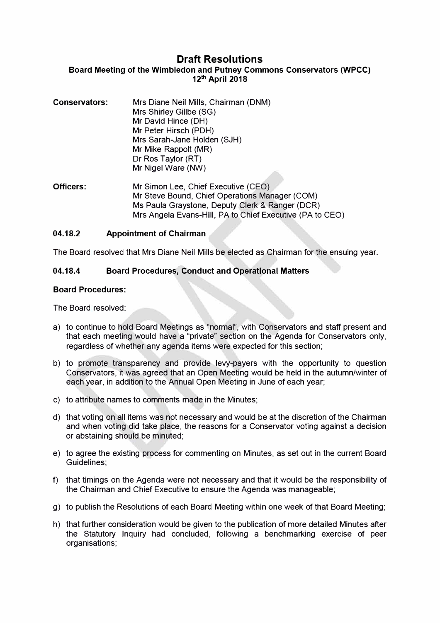# **Draft Resolutions**

### Board Meeting of the Wimbledon and Putney Commons Conservators **(WPCC)**  12th April 2018

| Conservators: | Mrs Diane Neil Mills, Chairman (DNM)<br>Mrs Shirley Gillbe (SG)<br>Mr David Hince (DH)<br>Mr Peter Hirsch (PDH)<br>Mrs Sarah-Jane Holden (SJH)<br>Mr Mike Rappolt (MR)<br>Dr Ros Taylor (RT)<br>Mr Nigel Ware (NW) |  |
|---------------|--------------------------------------------------------------------------------------------------------------------------------------------------------------------------------------------------------------------|--|
| Officers:     | Mr Simon Lee Chief Executive $(CFO)$                                                                                                                                                                               |  |

Officers: Mr Simon Lee, Chief Executive (CEO) Mr Steve Bound, Chief Operations Manager (COM) Ms Paula Graystone, Deputy Clerk & Ranger (DCR) Mrs Angela Evans-Hill, PA to Chief Executive (PA to CEO)

#### **04.18.2 Appointment of Chairman**

The Board resolved that Mrs Diane Neil Mills be elected as Chairman for the ensuing year.

#### **04.18.4 Board Procedures, Conduct and Operational Matters**

#### **Board Procedures:**

The Board resolved:

- a) to continue to hold Board Meetings as "normal", with Conservators and staff present and that each meeting would have a "private" section on the Agenda for Conservators only, regardless of whether any agenda items were expected for this section;
- b) to promote transparency and provide levy-payers with the opportunity to question Conservators, it was agreed that an Open Meeting would be held in the autumn/winter of each year, in addition to the Annual Open Meeting in June of each year;
- c) to attribute names to comments made in the Minutes;
- d) that voting on all items was not necessary and would be at the discretion of the Chairman and when voting did take place, the reasons for a Conservator voting against a decision or abstaining should be minuted;
- e) to agree the existing process for commenting on Minutes, as set out in the current Board Guidelines;
- f) that timings on the Agenda were not necessary and that it would be the responsibility of the Chairman and Chief Executive to ensure the Agenda was manageable;
- g) to publish the Resolutions of each Board Meeting within one week of that Board Meeting;
- h) that further consideration would be given to the publication of more detailed Minutes after the Statutory Inquiry had concluded, following a benchmarking exercise of peer organisations;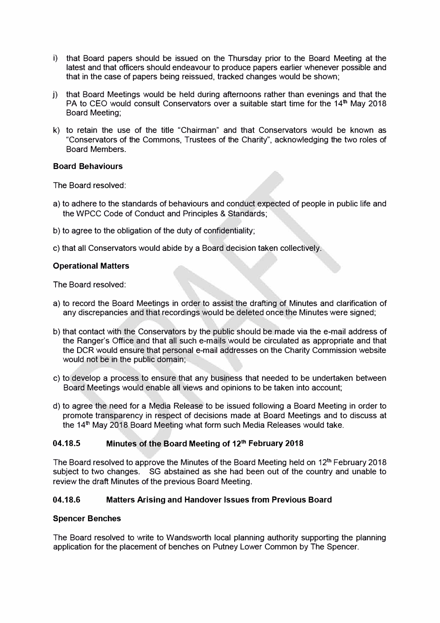- i) that Board papers should be issued on the Thursday prior to the Board Meeting at the latest and that officers should endeavour to produce papers earlier whenever possible and that in the case of papers being reissued, tracked changes would be shown;
- j ) that Board Meetings would be held during afternoons rather than evenings and that the PA to CEO would consult Conservators over a suitable start time for the 14<sup>th</sup> May 2018 Board Meeting;
- k) to retain the use of the title "Chairman" and that Conservators would be known as "Conservators of the Commons, Trustees of the Charity", acknowledging the two roles of Board Members.

#### **Board Behaviours**

The Board resolved:

- a) to adhere to the standards of behaviours and conduct expected of people in public life and the WPCC Code of Conduct and Principles & Standards;
- b) to agree to the obligation of the duty of confidentiality;
- c) that all Conservators would abide by a Board decision taken collectively.

#### **Operational Matters**

The Board resolved:

- a) to record the Board Meetings in order to assist the drafting of Minutes and clarification of any discrepancies and that recordings would be deleted once the Minutes were signed;
- b) that contact with the Conservators by the public should be made via the e-mail address of the Ranger's Office and that all such e-mails would be circulated as appropriate and that the OCR would ensure that personal e-mail addresses on the Charity Commission website would not be in the public domain;
- c) to develop a process to ensure that any business that needed to be undertaken between Board Meetings would enable all views and opinions to be taken into account;
- d) to agree the need for a Media Release to be issued following a Board Meeting in order to promote transparency in respect of decisions made at Board Meetings and to discuss at the 14<sup>th</sup> May 2018 Board Meeting what form such Media Releases would take.

#### **04.18.5 Minutes of the Board Meeting of 12th February 2018**

The Board resolved to approve the Minutes of the Board Meeting held on  $12<sup>th</sup>$  February 2018 subject to two changes. SG abstained as she had been out of the country and unable to review the draft Minutes of the previous Board Meeting.

#### **04.18.6 Matters Arising and Handover Issues from Previous Board**

#### **Spencer Benches**

The Board resolved to write to Wandsworth local planning authority supporting the planning application for the placement of benches on Putney Lower Common by The Spencer.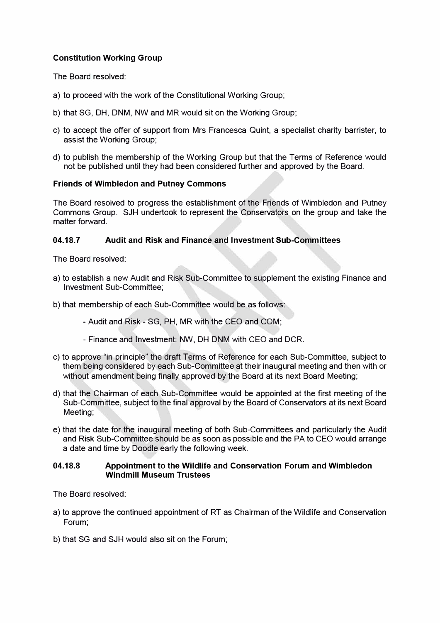## **Constitution Working Group**

The Board resolved:

- a) to proceed with the work of the Constitutional Working Group;
- b) that SG, OH, DNM, NW and MR would sit on the Working Group;
- c) to accept the offer of support from Mrs Francesca Quint, a specialist charity barrister, to assist the Working Group;
- d) to publish the membership of the Working Group but that the Terms of Reference would not be published until they had been considered further and approved by the Board.

#### **Friends of Wimbledon and Putney Commons**

The Board resolved to progress the establishment of the Friends of Wimbledon and Putney Commons Group. SJH undertook to represent the Conservators on the group and take the matter forward.

### **04.18.7 Audit and Risk and Finance and Investment Sub-Committees**

The Board resolved:

- a) to establish a new Audit and Risk Sub-Committee to supplement the existing Finance and Investment Sub-Committee;
- b) that membership of each Sub-Committee would be as follows:
	- Audit and Risk SG, PH, MR with the CEO and COM;
	- Finance and Investment: NW, OH DNM with CEO and OCR.
- c) to approve "in principle" the draft Terms of Reference for each Sub-Committee, subject to them being considered by each Sub-Committee at their inaugural meeting and then with or without amendment being finally approved by the Board at its next Board Meeting;
- d) that the Chairman of each Sub-Committee would be appointed at the first meeting of the Sub-Committee, subject to the final approval by the Board of Conservators at its next Board Meeting;
- e) that the date for the inaugural meeting of both Sub-Committees and particularly the Audit and Risk Sub-Committee should be as soon as possible and the PA to CEO would arrange a date and time by Doodle early the following week.

#### **04.18.8 Appointment** to **the Wildlife and Conservation Forum and Wimbledon Windmill Museum Trustees**

The Board resolved:

- a) to approve the continued appointment of RT as Chairman of the Wildlife and Conservation Forum;
- b) that SG and SJH would also sit on the Forum;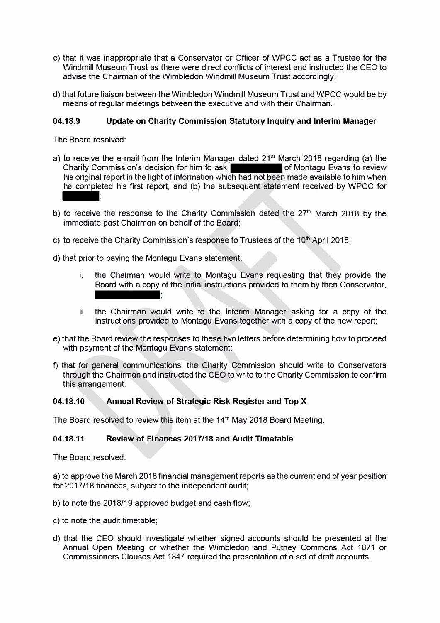- c) that it was inappropriate that a Conservator or Officer of WPCC act as a Trustee for the Windmill Museum Trust as there were direct conflicts of interest and instructed the CEO to advise the Chairman of the Wimbledon Windmill Museum Trust accordingly;
- d) that future liaison between the Wimbledon Windmill Museum Trust and WPCC would be by means of regular meetings between the executive and with their Chairman.

#### **04.18.9 Update on Charity Commission Statutory Inquiry and Interim Manager**

The Board resolved:

- a) to receive the e-mail from the Interim Manager dated 21<sup>st</sup> March 2018 regarding (a) the Charity Commission's decision for him to ask **of Montagu Evans to review** his original report in the light of information which had not been made available to him when Charity Co<br>his original<br>he comple<br>: he completed his first report, and (b) the subsequent statement received by WPCC for
- b) to receive the response to the Charity Commission dated the  $27<sup>th</sup>$  March 2018 by the immediate past Chairman on behalf of the Board;
- c) to receive the Charity Commission's response to Trustees of the  $10<sup>th</sup>$  April 2018;
- d) that prior to paying the Montagu Evans statement:
	- i. the Chairman would write to Montagu Evans requesting that they provide the Board with a copy of the initial instructions provided to them by then Conservator,
	- ii. the Chairman would write to the Interim Manager asking for a copy of the instructions provided to Montagu Evans together with a copy of the new report;
- e) that the Board review the responses to these two letters before determining how to proceed with payment of the Montagu Evans statement;
- f) that for general communications, the Charity Commission should write to Conservators through the Chairman and instructed the CEO to write to the Charity Commission to confirm this arrangement.

#### **04.18.10 Annual Review of Strategic Risk Register and Top X**

The Board resolved to review this item at the 14<sup>th</sup> May 2018 Board Meeting.

#### **04.18.11 Review of Finances 2017/18 and Audit Timetable**

The Board resolved:

a) to approve the March 2018 financial management reports as the current end of year position for 2017/18 finances, subject to the independent audit;

- b) to note the 2018/19 approved budget and cash flow;
- c) to note the audit timetable;
- d) that the CEO should investigate whether signed accounts should be presented at the Annual Open Meeting or whether the Wimbledon and Putney Commons Act 1871 or Commissioners Clauses Act 1847 required the presentation of a set of draft accounts.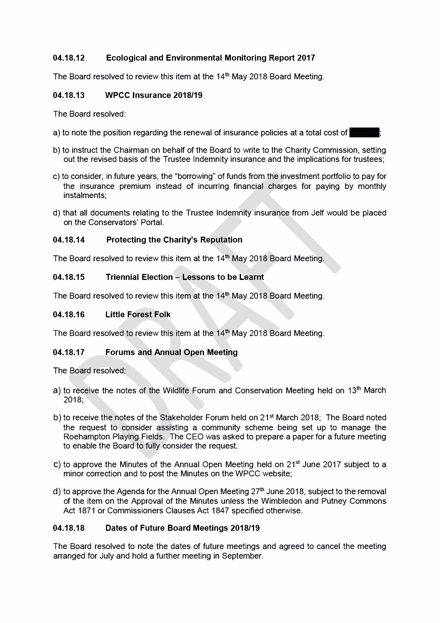## **04.18.12 Ecological and Environmental Monitoring Report 2017**

The Board resolved to review this item at the 14<sup>th</sup> May 2018 Board Meeting.

### **04.18.13 WPCC Insurance 2018/19**

The Board resolved:

- a) to note the position regarding the renewal of insurance policies at a total cost of
- b) to instruct the Chairman on behalf of the Board to write to the Charity Commission, setting out the revised basis of the Trustee Indemnity insurance and the implications for trustees;
- c) to consider, in future years, the "borrowing" of funds from the investment portfolio to pay for the insurance premium instead of incurring financial charges for paying by monthly instalments;
- d) that all documents relating to the Trustee Indemnity insurance from Jelf would be placed on the Conservators' Portal.

### **04.18.14 Protecting the Charity's Reputation**

The Board resolved to review this item at the  $14<sup>th</sup>$  May 2018 Board Meeting.

### **04.18.15 Triennial Election - Lessons to be Learnt**

The Board resolved to review this item at the 14<sup>th</sup> May 2018 Board Meeting.

### **04.18.16 Little Forest Folk**

The Board resolved to review this item at the  $14<sup>th</sup>$  May 2018 Board Meeting.

## **04.18.17 Forums and Annual Open Meeting**

The Board resolved:

- a) to receive the notes of the Wildlife Forum and Conservation Meeting held on  $13<sup>th</sup>$  March 2018;
- b) to receive the notes of the Stakeholder Forum held on 21<sup>st</sup> March 2018; The Board noted the request to consider assisting a community scheme being set up to manage the Roehampton Playing Fields. The CEO was asked to prepare a paper for a future meeting to enable the Board to fully consider the request.
- c) to approve the Minutes of the Annual Open Meeting held on 21<sup>st</sup> June 2017 subject to a minor correction and to post the Minutes on the WPCC website;
- d) to approve the Agenda for the Annual Open Meeting  $27<sup>th</sup>$  June 2018, subject to the removal of the item on the Approval of the Minutes unless the Wimbledon and Putney Commons Act 1871 or Commissioners Clauses Act 1847 specified otherwise.

#### **04.18.18 Dates of Future Board Meetings 2018/19**

The Board resolved to note the dates of future meetings and agreed to cancel the meeting arranged for July and hold a further meeting in September.